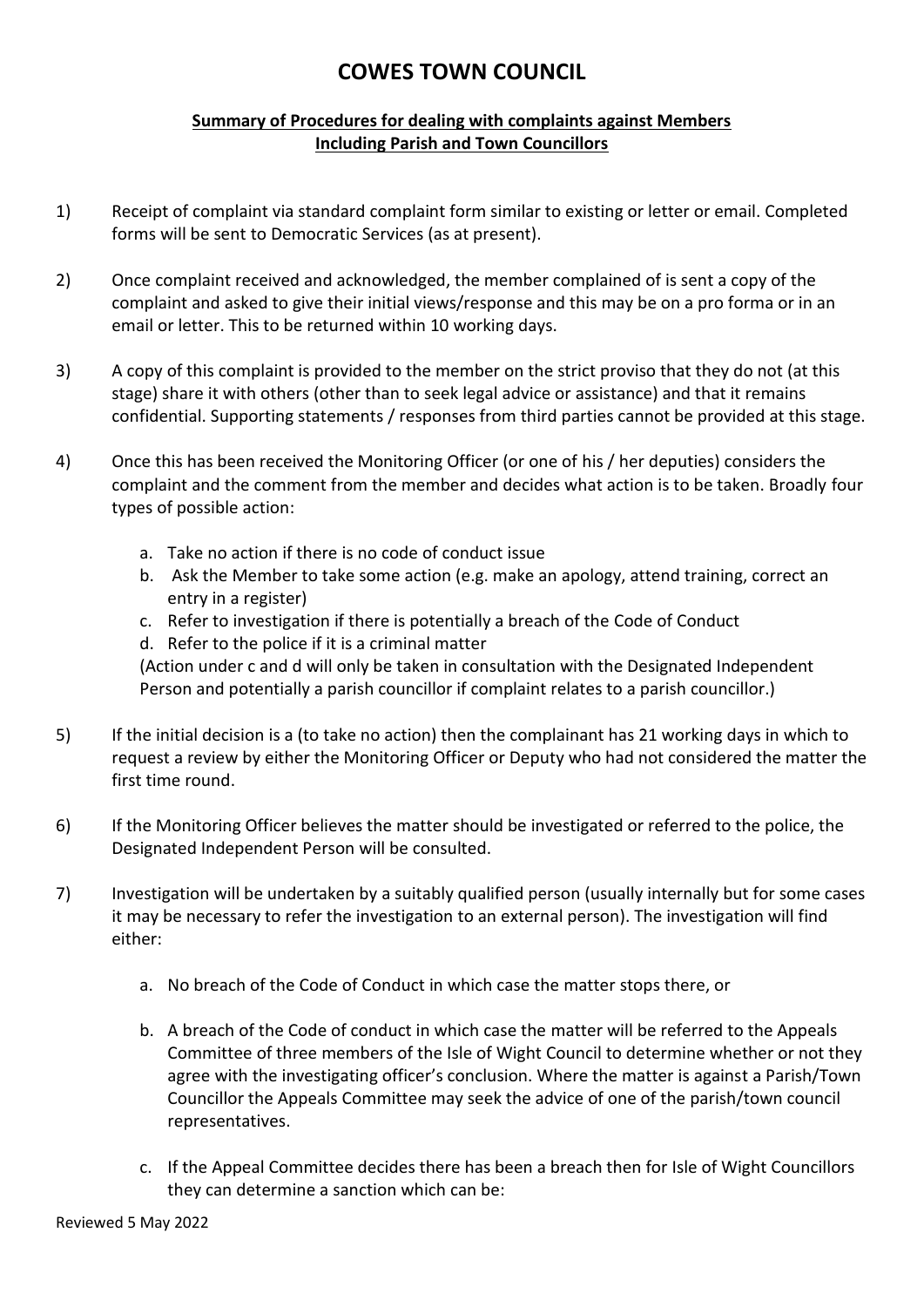## **COWES TOWN COUNCIL**

## **Summary of Procedures for dealing with complaints against Members Including Parish and Town Councillors**

- 1) Receipt of complaint via standard complaint form similar to existing or letter or email. Completed forms will be sent to Democratic Services (as at present).
- 2) Once complaint received and acknowledged, the member complained of is sent a copy of the complaint and asked to give their initial views/response and this may be on a pro forma or in an email or letter. This to be returned within 10 working days.
- 3) A copy of this complaint is provided to the member on the strict proviso that they do not (at this stage) share it with others (other than to seek legal advice or assistance) and that it remains confidential. Supporting statements / responses from third parties cannot be provided at this stage.
- 4) Once this has been received the Monitoring Officer (or one of his / her deputies) considers the complaint and the comment from the member and decides what action is to be taken. Broadly four types of possible action:
	- a. Take no action if there is no code of conduct issue
	- b. Ask the Member to take some action (e.g. make an apology, attend training, correct an entry in a register)
	- c. Refer to investigation if there is potentially a breach of the Code of Conduct
	- d. Refer to the police if it is a criminal matter

(Action under c and d will only be taken in consultation with the Designated Independent Person and potentially a parish councillor if complaint relates to a parish councillor.)

- 5) If the initial decision is a (to take no action) then the complainant has 21 working days in which to request a review by either the Monitoring Officer or Deputy who had not considered the matter the first time round.
- 6) If the Monitoring Officer believes the matter should be investigated or referred to the police, the Designated Independent Person will be consulted.
- 7) Investigation will be undertaken by a suitably qualified person (usually internally but for some cases it may be necessary to refer the investigation to an external person). The investigation will find either:
	- a. No breach of the Code of Conduct in which case the matter stops there, or
	- b. A breach of the Code of conduct in which case the matter will be referred to the Appeals Committee of three members of the Isle of Wight Council to determine whether or not they agree with the investigating officer's conclusion. Where the matter is against a Parish/Town Councillor the Appeals Committee may seek the advice of one of the parish/town council representatives.
	- c. If the Appeal Committee decides there has been a breach then for Isle of Wight Councillors they can determine a sanction which can be: